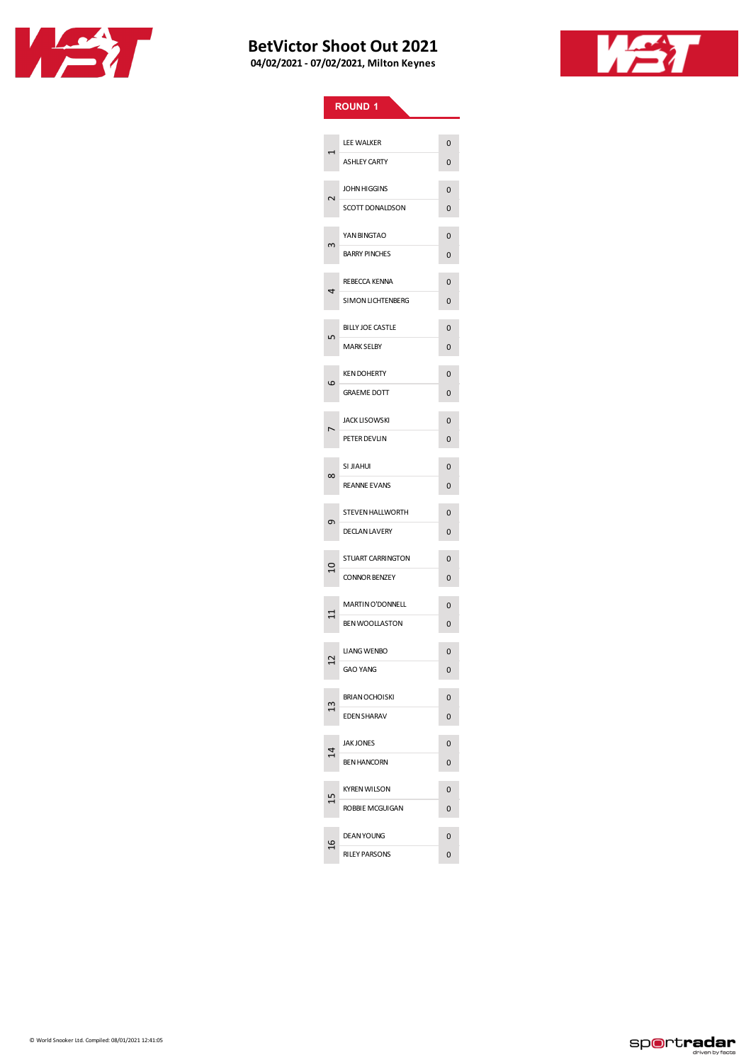



|                | <b>ROUND 1</b>           |                |
|----------------|--------------------------|----------------|
|                |                          |                |
| ۳              | LEE WALKER               | 0              |
|                | <b>ASHLEY CARTY</b>      | 0              |
| $\sim$         | <b>JOHN HIGGINS</b>      | 0              |
|                | SCOTT DONALDSON          | 0              |
| w              | YAN BINGTAO              | 0              |
|                | <b>BARRY PINCHES</b>     | 0              |
| 4              | <b>REBECCA KENNA</b>     | 0              |
|                | SIMON LICHTENBERG        | 0              |
| 5              | <b>BILLY JOE CASTLE</b>  | 0              |
|                | <b>MARK SELBY</b>        | 0              |
| ဖ              | <b>KEN DOHERTY</b>       | 0              |
|                | <b>GRAEME DOTT</b>       | 0              |
|                | <b>JACK LISOWSKI</b>     | 0              |
|                | PETER DEVLIN             | 0              |
| $\infty$       | SI JIAHUI                | 0              |
|                | <b>REANNE EVANS</b>      | 0              |
| Ō              | <b>STEVEN HALLWORTH</b>  | 0              |
|                | <b>DECLAN LAVERY</b>     | 0              |
| $\overline{a}$ | <b>STUART CARRINGTON</b> | 0              |
|                | <b>CONNOR BENZEY</b>     | 0              |
| $\Xi$          | <b>MARTIN O'DONNELL</b>  | 0              |
|                | <b>BEN WOOLLASTON</b>    | 0              |
| 7<br>r         | <b>LIANG WENBO</b>       | 0              |
|                | <b>GAO YANG</b>          | 0              |
| ല              | <b>BRIAN OCHOISKI</b>    | 0              |
|                | <b>EDEN SHARAV</b>       | 0              |
| $\overline{4}$ | <b>JAK JONES</b>         | $\overline{0}$ |
|                | <b>BEN HANCORN</b>       | 0              |
|                | <b>KYREN WILSON</b>      | 0              |
|                | ROBBIE MCGUIGAN          | 0              |
| 잌              | <b>DEAN YOUNG</b>        | 0              |
|                | <b>RILEY PARSONS</b>     | 0              |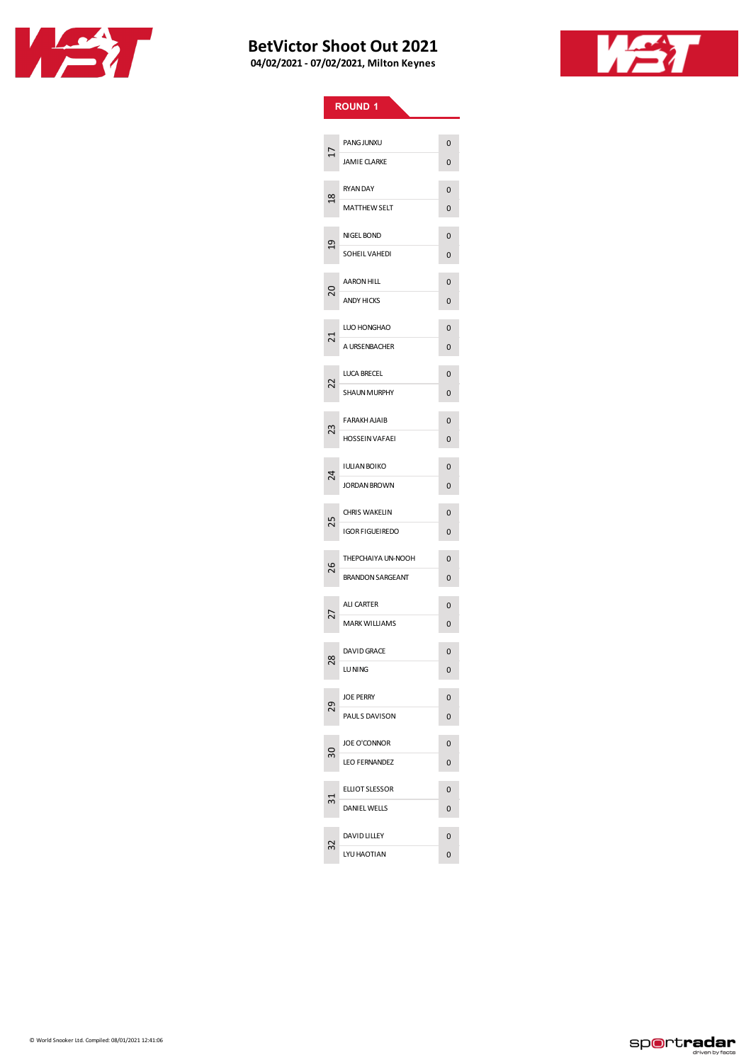



|                | <b>ROUND 1</b>          |                |
|----------------|-------------------------|----------------|
|                |                         |                |
| 17             | <b>PANG JUNXU</b>       | 0              |
|                | <b>JAMIE CLARKE</b>     | 0              |
| $\frac{8}{18}$ | <b>RYAN DAY</b>         | 0              |
|                | <b>MATTHEW SELT</b>     | 0              |
| $\overline{a}$ | NIGEL BOND              | 0              |
|                | SOHEIL VAHEDI           | 0              |
|                | <b>AARON HILL</b>       | 0              |
| ຊ              | <b>ANDY HICKS</b>       | 0              |
|                | LUO HONGHAO             | 0              |
| 21             | A URSENBACHER           | 0              |
|                |                         |                |
| 22             | LUCA BRECEL             | 0              |
|                | <b>SHAUN MURPHY</b>     | 0              |
| 23             | <b>FARAKH AJAIB</b>     | 0              |
|                | <b>HOSSEIN VAFAEI</b>   | 0              |
| 24             | <b>IULIAN BOIKO</b>     | $\Omega$       |
|                | <b>JORDAN BROWN</b>     | 0              |
|                | <b>CHRIS WAKELIN</b>    | 0              |
| 25             | <b>IGOR FIGUEIREDO</b>  | 0              |
|                | THEPCHAIYA UN-NOOH      | 0              |
| 26             | <b>BRANDON SARGEANT</b> | 0              |
|                | <b>ALI CARTER</b>       | 0              |
| 27             | <b>MARK WILLIAMS</b>    | 0              |
|                | <b>DAVID GRACE</b>      | 0              |
| œ<br>$\sim$    | LU NING                 | 0              |
|                | <b>JOE PERRY</b>        | 0              |
| 29             | PAULS DAVISON           | 0              |
|                | <b>JOE O'CONNOR</b>     | 0              |
| 50             | <b>LEO FERNANDEZ</b>    | 0              |
|                | <b>ELLIOT SLESSOR</b>   |                |
|                | DANIEL WELLS            | $\Omega$<br>0  |
|                |                         |                |
| 32             | DAVID LILLEY            | $\overline{0}$ |
|                | LYU HAOTIAN             | 0              |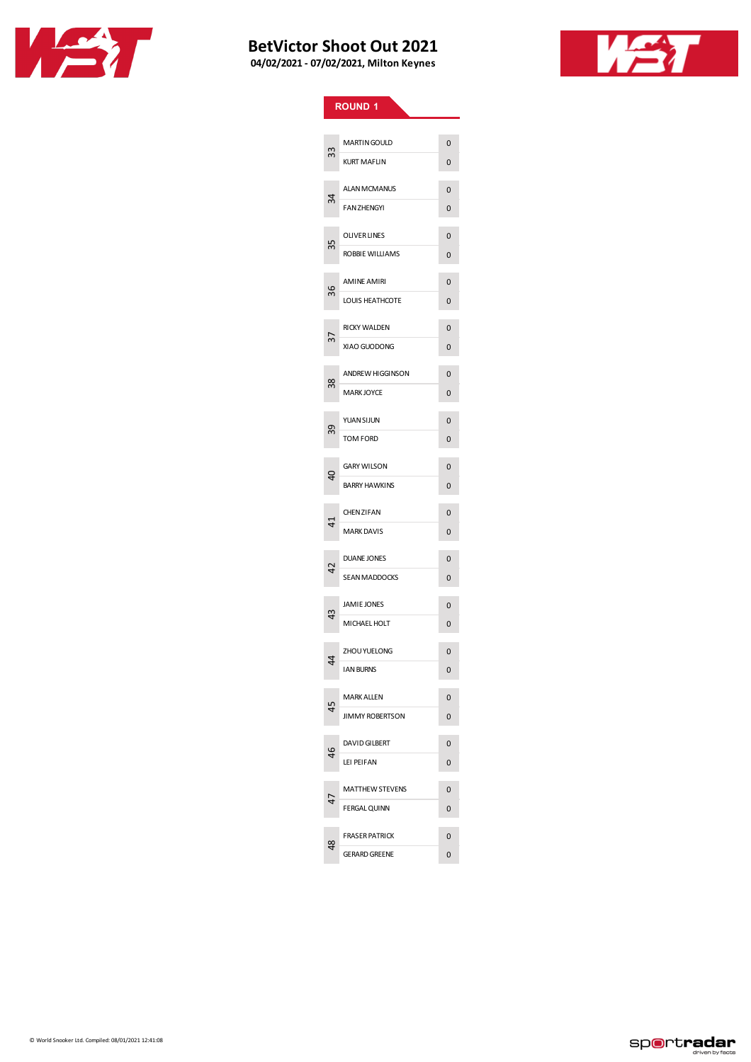



| <b>ROUND 1</b> |                         |                |  |  |
|----------------|-------------------------|----------------|--|--|
|                |                         |                |  |  |
| 33             | <b>MARTIN GOULD</b>     | 0              |  |  |
|                | <b>KURT MAFLIN</b>      | 0              |  |  |
| 34             | <b>ALAN MCMANUS</b>     | 0              |  |  |
|                | <b>FAN ZHENGYI</b>      | 0              |  |  |
| 35             | <b>OLIVER LINES</b>     | 0              |  |  |
|                | ROBBIE WILLIAMS         | 0              |  |  |
|                | <b>AMINE AMIRI</b>      | 0              |  |  |
| 36             | LOUIS HEATHCOTE         | 0              |  |  |
|                | <b>RICKY WALDEN</b>     | 0              |  |  |
| 57             | XIAO GUODONG            | 0              |  |  |
|                | <b>ANDREW HIGGINSON</b> | 0              |  |  |
| 38             | <b>MARK JOYCE</b>       | 0              |  |  |
|                | <b>YUAN SIJUN</b>       | 0              |  |  |
| 39             | <b>TOM FORD</b>         | 0              |  |  |
|                | <b>GARY WILSON</b>      | 0              |  |  |
| ទ              | <b>BARRY HAWKINS</b>    | 0              |  |  |
|                | <b>CHENZIFAN</b>        | 0              |  |  |
| 4              | <b>MARK DAVIS</b>       | 0              |  |  |
|                | <b>DUANE JONES</b>      | 0              |  |  |
| 42             | <b>SEAN MADDOCKS</b>    | 0              |  |  |
|                | <b>JAMIE JONES</b>      | 0              |  |  |
| 43             | MICHAEL HOLT            | 0              |  |  |
|                | ZHOU YUELONG            | 0              |  |  |
| 44             | <b>IAN BURNS</b>        | 0              |  |  |
|                | <b>MARK ALLEN</b>       | 0              |  |  |
| 45             | <b>JIMMY ROBERTSON</b>  | 0              |  |  |
|                | <b>DAVID GILBERT</b>    | 0              |  |  |
| 46             | LEI PEIFAN              | 0              |  |  |
| 47             | <b>MATTHEW STEVENS</b>  | $\Omega$       |  |  |
|                | <b>FERGAL QUINN</b>     | 0              |  |  |
| 48             | <b>FRASER PATRICK</b>   | $\overline{0}$ |  |  |
|                | <b>GERARD GREENE</b>    | 0              |  |  |